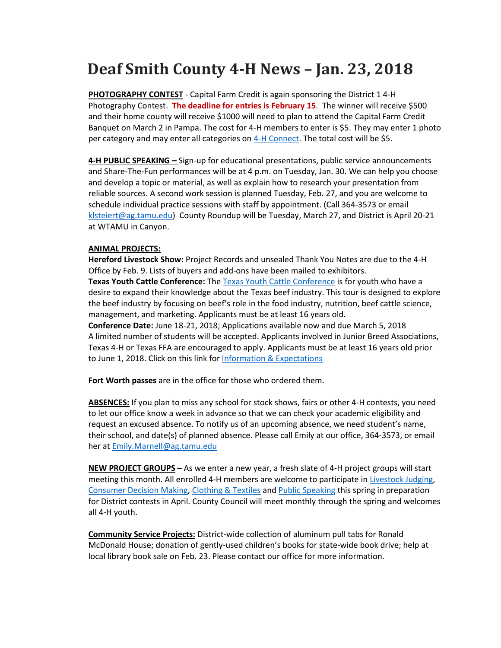## **Deaf Smith County 4-H News – Jan. 23, 2018**

**PHOTOGRAPHY CONTEST** - Capital Farm Credit is again sponsoring the District 1 4-H Photography Contest. **The deadline for entries is February 15**. The winner will receive \$500 and their home county will receive \$1000 will need to plan to attend the Capital Farm Credit Banquet on March 2 in Pampa. The cost for 4-H members to enter is \$5. They may enter 1 photo per category and may enter all categories on [4-H Connect.](http://texas.4honline.com/) The total cost will be \$5.

**4-H PUBLIC SPEAKING –** Sign-up for educational presentations, public service announcements and Share-The-Fun performances will be at 4 p.m. on Tuesday, Jan. 30. We can help you choose and develop a topic or material, as well as explain how to research your presentation from reliable sources. A second work session is planned Tuesday, Feb. 27, and you are welcome to schedule individual practice sessions with staff by appointment. (Call 364-3573 or email [klsteiert@ag.tamu.edu\)](mailto:klsteiert@ag.tamu.edu) County Roundup will be Tuesday, March 27, and District is April 20-21 at WTAMU in Canyon.

## **ANIMAL PROJECTS:**

**Hereford Livestock Show:** Project Records and unsealed Thank You Notes are due to the 4-H Office by Feb. 9. Lists of buyers and add-ons have been mailed to exhibitors. **Texas Youth Cattle Conference:** Th[e Texas Youth Cattle Conference](http://www.texasbeefcheckoff.com/texasyouth) is for youth who have a desire to expand their knowledge about the Texas beef industry. This tour is designed to explore the beef industry by focusing on beef's role in the food industry, nutrition, beef cattle science, management, and marketing. Applicants must be at least 16 years old. **Conference Date:** June 18-21, 2018; Applications available now and due March 5, 2018 A limited number of students will be accepted. Applicants involved in Junior Breed Associations, Texas 4-H or Texas FFA are encouraged to apply. Applicants must be at least 16 years old prior to June 1, 2018. Click on this link for [Information & Expectations](http://www.texasbeefcheckoff.com/assets/311-001A-Application-R2-FINAL-WEB.pdf)

**Fort Worth passes** are in the office for those who ordered them.

**ABSENCES:** If you plan to miss any school for stock shows, fairs or other 4-H contests, you need to let our office know a week in advance so that we can check your academic eligibility and request an excused absence. To notify us of an upcoming absence, we need student's name, their school, and date(s) of planned absence. Please call Emily at our office, 364-3573, or email her at [Emily.Marnell@ag.tamu.edu](mailto:Emily.Marnell@ag.tamu.edu)

**NEW PROJECT GROUPS** – As we enter a new year, a fresh slate of 4-H project groups will start meeting this month. All enrolled 4-H members are welcome to participate in [Livestock Judging,](https://d14-h.tamu.edu/project-resources/animals/livestock-judging/) [Consumer Decision Making,](https://d14-h.tamu.edu/project-resources/healthy-living/consumer-education-project/) [Clothing & Textiles](https://d14-h.tamu.edu/project-resources/creative-arts/clothing-textiles-project/) an[d Public Speaking](https://d14-h.tamu.edu/project-resources/leadership/educational-presentations-2/) this spring in preparation for District contests in April. County Council will meet monthly through the spring and welcomes all 4-H youth.

**Community Service Projects:** District-wide collection of aluminum pull tabs for Ronald McDonald House; donation of gently-used children's books for state-wide book drive; help at local library book sale on Feb. 23. Please contact our office for more information.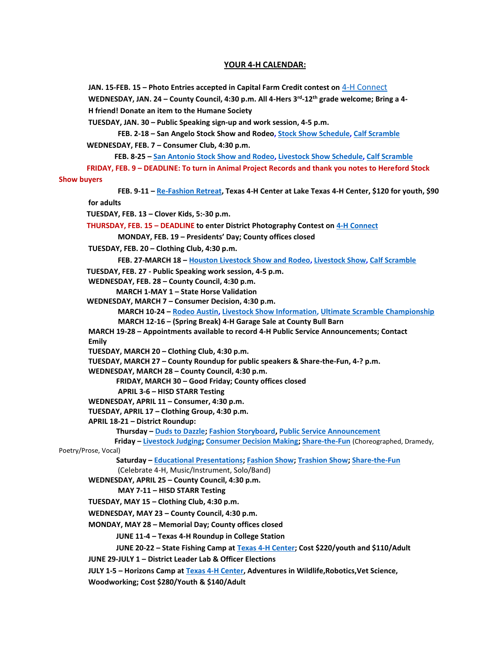## **YOUR 4-H CALENDAR:**

**JAN. 15-FEB. 15 – Photo Entries accepted in Capital Farm Credit contest on** [4-H Connect](http://texas.4honline.com/) **WEDNESDAY, JAN. 24 – County Council, 4:30 p.m. All 4-Hers 3rd -12th grade welcome; Bring a 4- H friend! Donate an item to the Humane Society TUESDAY, JAN. 30 – Public Speaking sign-up and work session, 4-5 p.m. FEB. 2-18 – San Angelo Stock Show and Rodeo, Stock Show [Schedule,](http://www.sanangelorodeo.com/p/livestock/335) Calf [Scramble](http://www.sanangelorodeo.com/p/livestock/338) WEDNESDAY, FEB. 7 – Consumer Club, 4:30 p.m. FEB. 8-25 – San [Antonio](http://www.sarodeo.com/) Stock Show and Rodeo[, Livestock](http://www.sarodeo.com/livestock/show-schedule) Show Schedule, Calf [Scramble](http://www.sarodeo.com/livestock-show/category/calf-scramble/) FRIDAY, FEB. 9 – DEADLINE: To turn in Animal Project Records and thank you notes to Hereford Stock Show buyers FEB. 9-11 – [Re-Fashion Retreat,](https://4.bp.blogspot.com/-LV1VGIcPleY/Wfn8udUAK6I/AAAAAAAACeY/3RmXourlP-YHBJotUsBHUbEzrla8IKsNACLcBGAs/s1600/ReFashion%2BRetreat%2BPromotion.jpg) Texas 4-H Center at Lake Texas 4-H Center, \$120 for youth, \$90 for adults TUESDAY, FEB. 13 – Clover Kids, 5:-30 p.m. THURSDAY, FEB. 15 – DEADLINE to enter District Photography Contest on [4-H Connect](http://texas.4honline.com/) MONDAY, FEB. 19 – Presidents' Day; County offices closed TUESDAY, FEB. 20 – Clothing Club, 4:30 p.m. FEB. 27-MARCH 18 – Houston [Livestock](http://hlsr.com/) Show and Rodeo, [Livestock](http://www.rodeohouston.com/Get-Involved/Exhibitors-Participants/Livestock-Show) Show, Calf [Scramble](http://www.rodeohouston.com/Get-Involved/Exhibitors-Participants/Calf-Scramble) TUESDAY, FEB. 27 - Public Speaking work session, 4-5 p.m. WEDNESDAY, FEB. 28 – County Council, 4:30 p.m. MARCH 1-MAY 1 – State Horse Validation WEDNESDAY, MARCH 7 – Consumer Decision, 4:30 p.m. MARCH 10-24 – Rodeo [Austin,](http://www.rodeoaustin.com/) Livestock Show [Information,](http://www.rodeoaustin.com/get-involved/compete/livestock-show/) [U](http://www.rodeohouston.com/access/calf-scramble/index.aspx)ltimate Scramble [Championship](http://www.rodeoaustin.com/get-involved/compete/ultimate-scramble-championship/) MARCH 12-16 – (Spring Break) 4-H Garage Sale at County Bull Barn MARCH 19-28 – Appointments available to record 4-H Public Service Announcements; Contact Emily TUESDAY, MARCH 20 – Clothing Club, 4:30 p.m. TUESDAY, MARCH 27 – County Roundup for public speakers & Share-the-Fun, 4-? p.m. WEDNESDAY, MARCH 28 – County Council, 4:30 p.m. FRIDAY, MARCH 30 – Good Friday; County offices closed APRIL 3-6 – HISD STARR Testing WEDNESDAY, APRIL 11 – Consumer, 4:30 p.m. TUESDAY, APRIL 17 – Clothing Group, 4:30 p.m. APRIL 18-21 – District Roundup: Thursday – [Duds to Dazzle;](https://d14-h.tamu.edu/files/2018/01/2018-Duds-to-Dazzle-Letter.pdf) [Fashion Storyboard,](https://d14-h.tamu.edu/files/2018/01/2018-Storyboard-letter.pdf) [Public Service Announcement](https://d14-h.tamu.edu/files/2018/01/PSA-contest.pdf) Friday – [Livestock Judging;](https://d14-h.tamu.edu/files/2018/01/Livestock-Letter-2018.pdf) [Consumer Decision Making;](https://d14-h.tamu.edu/files/2018/01/CDM-2018-Letter.pdf) [Share-the-Fun](https://d14-h.tamu.edu/files/2018/01/2018-Roundup-1.pdf)** (Choreographed, Dramedy, Poetry/Prose, Vocal)  **Saturday – [Educational Presentations;](https://d14-h.tamu.edu/files/2018/01/2018-Roundup-1.pdf) [Fashion Show;](https://d14-h.tamu.edu/files/2018/01/2018-Fashion-Show-Letter.pdf) [Trashion Show;](https://d14-h.tamu.edu/files/2018/01/2018-Trashion-Show.pdf) [Share-the-Fun](https://d14-h.tamu.edu/files/2018/01/2018-Roundup-1.pdf)** (Celebrate 4-H, Music/Instrument, Solo/Band) **WEDNESDAY, APRIL 25 – County Council, 4:30 p.m. MAY 7-11 – HISD STARR Testing TUESDAY, MAY 15 – Clothing Club, 4:30 p.m. WEDNESDAY, MAY 23 – County Council, 4:30 p.m. MONDAY, MAY 28 – Memorial Day; County offices closed JUNE 11-4 – Texas 4-H Roundup in College Station JUNE 20-22 – State Fishing Camp at [Texas 4-H Center;](https://texas4hcenter.tamu.edu/services/youth-camps-and-retreats/) Cost \$220/youth and \$110/Adult JUNE 29-JULY 1 – District Leader Lab & Officer Elections JULY 1-5 – Horizons Camp a[t Texas 4-H Center,](https://texas4hcenter.tamu.edu/services/youth-camps-and-retreats/) Adventures in Wildlife,Robotics,Vet Science, Woodworking; Cost \$280/Youth & \$140/Adult**